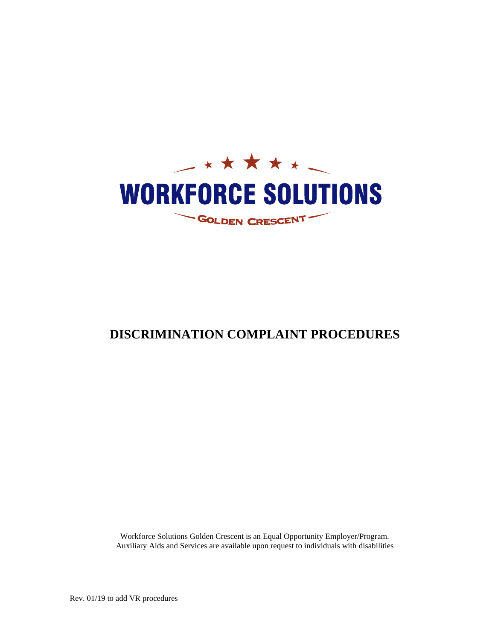

# **DISCRIMINATION COMPLAINT PROCEDURES**

Workforce Solutions Golden Crescent is an Equal Opportunity Employer/Program. Auxiliary Aids and Services are available upon request to individuals with disabilities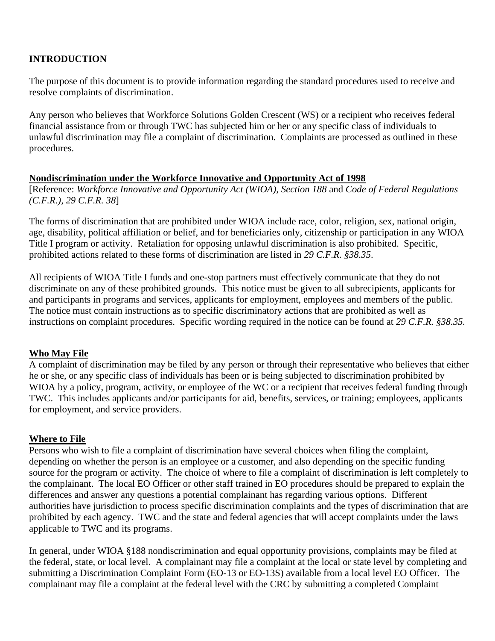# **INTRODUCTION**

The purpose of this document is to provide information regarding the standard procedures used to receive and resolve complaints of discrimination.

Any person who believes that Workforce Solutions Golden Crescent (WS) or a recipient who receives federal financial assistance from or through TWC has subjected him or her or any specific class of individuals to unlawful discrimination may file a complaint of discrimination. Complaints are processed as outlined in these procedures.

# **Nondiscrimination under the Workforce Innovative and Opportunity Act of 1998**

[Reference: *Workforce Innovative and Opportunity Act (WIOA), Section 188* and *Code of Federal Regulations (C.F.R.), 29 C.F.R. 38*]

The forms of discrimination that are prohibited under WIOA include race, color, religion, sex, national origin, age, disability, political affiliation or belief, and for beneficiaries only, citizenship or participation in any WIOA Title I program or activity. Retaliation for opposing unlawful discrimination is also prohibited. Specific, prohibited actions related to these forms of discrimination are listed in *29 C.F.R. §38.35*.

All recipients of WIOA Title I funds and one-stop partners must effectively communicate that they do not discriminate on any of these prohibited grounds. This notice must be given to all subrecipients, applicants for and participants in programs and services, applicants for employment, employees and members of the public. The notice must contain instructions as to specific discriminatory actions that are prohibited as well as instructions on complaint procedures. Specific wording required in the notice can be found at *29 C.F.R. §38.35.* 

# **Who May File**

A complaint of discrimination may be filed by any person or through their representative who believes that either he or she, or any specific class of individuals has been or is being subjected to discrimination prohibited by WIOA by a policy, program, activity, or employee of the WC or a recipient that receives federal funding through TWC. This includes applicants and/or participants for aid, benefits, services, or training; employees, applicants for employment, and service providers.

# **Where to File**

Persons who wish to file a complaint of discrimination have several choices when filing the complaint, depending on whether the person is an employee or a customer, and also depending on the specific funding source for the program or activity. The choice of where to file a complaint of discrimination is left completely to the complainant. The local EO Officer or other staff trained in EO procedures should be prepared to explain the differences and answer any questions a potential complainant has regarding various options. Different authorities have jurisdiction to process specific discrimination complaints and the types of discrimination that are prohibited by each agency. TWC and the state and federal agencies that will accept complaints under the laws applicable to TWC and its programs.

In general, under WIOA §188 nondiscrimination and equal opportunity provisions, complaints may be filed at the federal, state, or local level. A complainant may file a complaint at the local or state level by completing and submitting a Discrimination Complaint Form (EO-13 or EO-13S) available from a local level EO Officer. The complainant may file a complaint at the federal level with the CRC by submitting a completed Complaint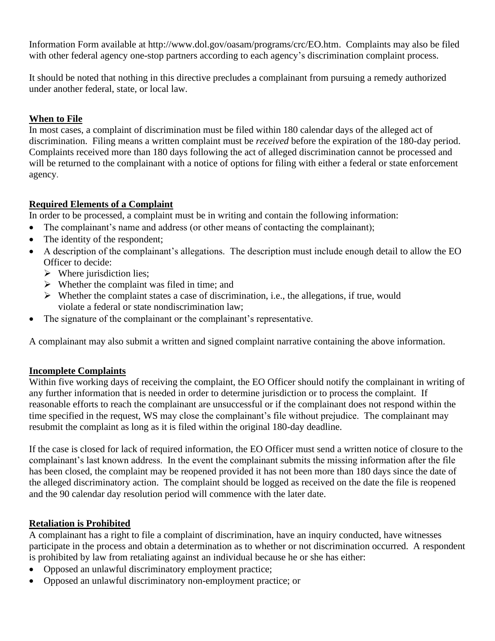Information Form available at [http://www.dol.gov/oasam/programs/crc/EO.htm.](http://www.dol.gov/oasam/programs/crc/EO.htm) Complaints may also be filed with other federal agency one-stop partners according to each agency's discrimination complaint process.

It should be noted that nothing in this directive precludes a complainant from pursuing a remedy authorized under another federal, state, or local law.

# **When to File**

In most cases, a complaint of discrimination must be filed within 180 calendar days of the alleged act of discrimination. Filing means a written complaint must be *received* before the expiration of the 180-day period. Complaints received more than 180 days following the act of alleged discrimination cannot be processed and will be returned to the complainant with a notice of options for filing with either a federal or state enforcement agency.

# **Required Elements of a Complaint**

In order to be processed, a complaint must be in writing and contain the following information:

- The complainant's name and address (or other means of contacting the complainant);
- The identity of the respondent;
- A description of the complainant's allegations. The description must include enough detail to allow the EO Officer to decide:
	- $\triangleright$  Where jurisdiction lies;
	- $\triangleright$  Whether the complaint was filed in time; and
	- $\triangleright$  Whether the complaint states a case of discrimination, i.e., the allegations, if true, would violate a federal or state nondiscrimination law;
- The signature of the complainant or the complainant's representative.

A complainant may also submit a written and signed complaint narrative containing the above information.

# **Incomplete Complaints**

Within five working days of receiving the complaint, the EO Officer should notify the complainant in writing of any further information that is needed in order to determine jurisdiction or to process the complaint. If reasonable efforts to reach the complainant are unsuccessful or if the complainant does not respond within the time specified in the request, WS may close the complainant's file without prejudice. The complainant may resubmit the complaint as long as it is filed within the original 180-day deadline.

If the case is closed for lack of required information, the EO Officer must send a written notice of closure to the complainant's last known address. In the event the complainant submits the missing information after the file has been closed, the complaint may be reopened provided it has not been more than 180 days since the date of the alleged discriminatory action. The complaint should be logged as received on the date the file is reopened and the 90 calendar day resolution period will commence with the later date.

# **Retaliation is Prohibited**

A complainant has a right to file a complaint of discrimination, have an inquiry conducted, have witnesses participate in the process and obtain a determination as to whether or not discrimination occurred. A respondent is prohibited by law from retaliating against an individual because he or she has either:

- Opposed an unlawful discriminatory employment practice;
- Opposed an unlawful discriminatory non-employment practice; or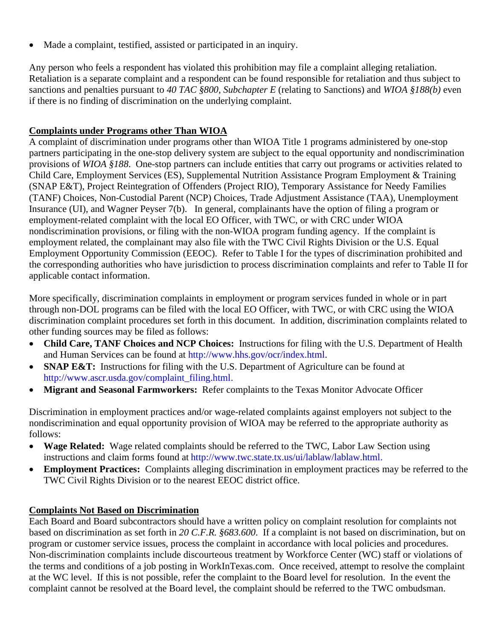• Made a complaint, testified, assisted or participated in an inquiry.

Any person who feels a respondent has violated this prohibition may file a complaint alleging retaliation. Retaliation is a separate complaint and a respondent can be found responsible for retaliation and thus subject to sanctions and penalties pursuant to *40 TAC §800, Subchapter E* (relating to Sanctions) and *WIOA §188(b)* even if there is no finding of discrimination on the underlying complaint.

# **Complaints under Programs other Than WIOA**

A complaint of discrimination under programs other than WIOA Title 1 programs administered by one-stop partners participating in the one-stop delivery system are subject to the equal opportunity and nondiscrimination provisions of *WIOA §188*. One-stop partners can include entities that carry out programs or activities related to Child Care, Employment Services (ES), Supplemental Nutrition Assistance Program Employment & Training (SNAP E&T), Project Reintegration of Offenders (Project RIO), Temporary Assistance for Needy Families (TANF) Choices, Non-Custodial Parent (NCP) Choices, Trade Adjustment Assistance (TAA), Unemployment Insurance (UI), and Wagner Peyser 7(b). In general, complainants have the option of filing a program or employment-related complaint with the local EO Officer, with TWC, or with CRC under WIOA nondiscrimination provisions, or filing with the non-WIOA program funding agency. If the complaint is employment related, the complainant may also file with the TWC Civil Rights Division or the U.S. Equal Employment Opportunity Commission (EEOC). Refer to Table I for the types of discrimination prohibited and the corresponding authorities who have jurisdiction to process discrimination complaints and refer to Table II for applicable contact information.

More specifically, discrimination complaints in employment or program services funded in whole or in part through non-DOL programs can be filed with the local EO Officer, with TWC, or with CRC using the WIOA discrimination complaint procedures set forth in this document. In addition, discrimination complaints related to other funding sources may be filed as follows:

- **Child Care, TANF Choices and NCP Choices:** Instructions for filing with the U.S. Department of Health and Human Services can be found at [http://www.hhs.gov/ocr/index.html.](http://www.hhs.gov/ocr/index.html)
- **SNAP E&T:** Instructions for filing with the U.S. Department of Agriculture can be found at [http://www.ascr.usda.gov/complaint\\_filing.html.](http://www.ascr.usda.gov/complaint_filing.html)
- **Migrant and Seasonal Farmworkers:** Refer complaints to the Texas Monitor Advocate Officer

Discrimination in employment practices and/or wage-related complaints against employers not subject to the nondiscrimination and equal opportunity provision of WIOA may be referred to the appropriate authority as follows:

- Wage Related: Wage related complaints should be referred to the TWC, Labor Law Section using instructions and claim forms found at [http://www.twc.state.tx.us/ui/lablaw/lablaw.html.](http://www.twc.state.tx.us/ui/lablaw/lablaw.html)
- **Employment Practices:** Complaints alleging discrimination in employment practices may be referred to the TWC Civil Rights Division or to the nearest EEOC district office.

# **Complaints Not Based on Discrimination**

Each Board and Board subcontractors should have a written policy on complaint resolution for complaints not based on discrimination as set forth in *20 C.F.R. §683.600*. If a complaint is not based on discrimination, but on program or customer service issues, process the complaint in accordance with local policies and procedures. Non-discrimination complaints include discourteous treatment by Workforce Center (WC) staff or violations of the terms and conditions of a job posting in WorkInTexas.com. Once received, attempt to resolve the complaint at the WC level. If this is not possible, refer the complaint to the Board level for resolution. In the event the complaint cannot be resolved at the Board level, the complaint should be referred to the TWC ombudsman.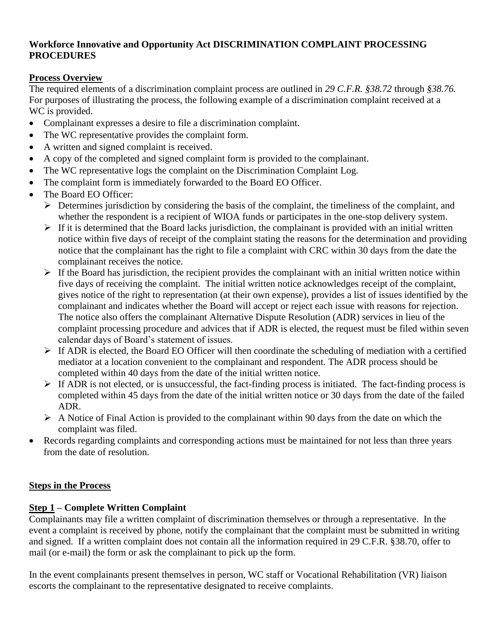# **Workforce Innovative and Opportunity Act DISCRIMINATION COMPLAINT PROCESSING PROCEDURES**

# **Process Overview**

The required elements of a discrimination complaint process are outlined in *29 C.F.R. §38.72* through *§38.76.* For purposes of illustrating the process, the following example of a discrimination complaint received at a WC is provided.

- Complainant expresses a desire to file a discrimination complaint.
- The WC representative provides the complaint form.
- A written and signed complaint is received.
- A copy of the completed and signed complaint form is provided to the complainant.
- The WC representative logs the complaint on the Discrimination Complaint Log.
- The complaint form is immediately forwarded to the Board EO Officer.
- The Board EO Officer:
	- ➢ Determines jurisdiction by considering the basis of the complaint, the timeliness of the complaint, and whether the respondent is a recipient of WIOA funds or participates in the one-stop delivery system.
	- $\triangleright$  If it is determined that the Board lacks jurisdiction, the complainant is provided with an initial written notice within five days of receipt of the complaint stating the reasons for the determination and providing notice that the complainant has the right to file a complaint with CRC within 30 days from the date the complainant receives the notice.
	- $\triangleright$  If the Board has jurisdiction, the recipient provides the complainant with an initial written notice within five days of receiving the complaint. The initial written notice acknowledges receipt of the complaint, gives notice of the right to representation (at their own expense), provides a list of issues identified by the complainant and indicates whether the Board will accept or reject each issue with reasons for rejection. The notice also offers the complainant Alternative Dispute Resolution (ADR) services in lieu of the complaint processing procedure and advices that if ADR is elected, the request must be filed within seven calendar days of Board's statement of issues.
	- ➢ If ADR is elected, the Board EO Officer will then coordinate the scheduling of mediation with a certified mediator at a location convenient to the complainant and respondent. The ADR process should be completed within 40 days from the date of the initial written notice.
	- $\triangleright$  If ADR is not elected, or is unsuccessful, the fact-finding process is initiated. The fact-finding process is completed within 45 days from the date of the initial written notice or 30 days from the date of the failed ADR.
	- $\triangleright$  A Notice of Final Action is provided to the complainant within 90 days from the date on which the complaint was filed.
- Records regarding complaints and corresponding actions must be maintained for not less than three years from the date of resolution.

# **Steps in the Process**

# **Step 1 – Complete Written Complaint**

Complainants may file a written complaint of discrimination themselves or through a representative. In the event a complaint is received by phone, notify the complainant that the complaint must be submitted in writing and signed. If a written complaint does not contain all the information required in 29 C.F.R. §38.70, offer to mail (or e-mail) the form or ask the complainant to pick up the form.

In the event complainants present themselves in person, WC staff or Vocational Rehabilitation (VR) liaison escorts the complainant to the representative designated to receive complaints.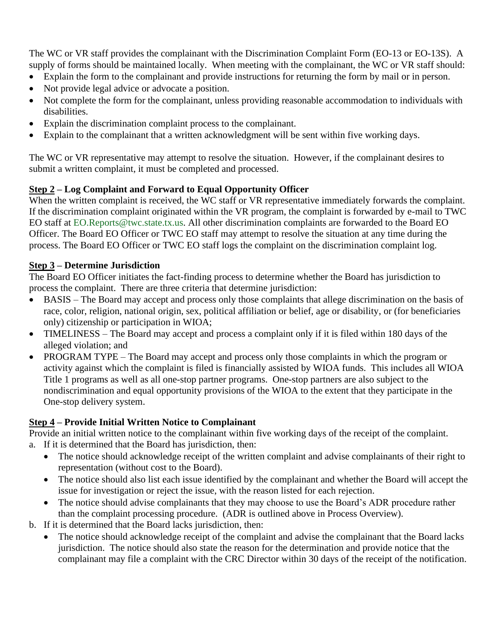The WC or VR staff provides the complainant with the Discrimination Complaint Form (EO-13 or EO-13S). A supply of forms should be maintained locally. When meeting with the complainant, the WC or VR staff should:

- Explain the form to the complainant and provide instructions for returning the form by mail or in person.
- Not provide legal advice or advocate a position.
- Not complete the form for the complainant, unless providing reasonable accommodation to individuals with disabilities.
- Explain the discrimination complaint process to the complainant.
- Explain to the complainant that a written acknowledgment will be sent within five working days.

The WC or VR representative may attempt to resolve the situation. However, if the complainant desires to submit a written complaint, it must be completed and processed.

# **Step 2 – Log Complaint and Forward to Equal Opportunity Officer**

When the written complaint is received, the WC staff or VR representative immediately forwards the complaint. If the discrimination complaint originated within the VR program, the complaint is forwarded by e-mail to TWC EO staff at EO.Reports@twc.state.tx.us. All other discrimination complaints are forwarded to the Board EO Officer. The Board EO Officer or TWC EO staff may attempt to resolve the situation at any time during the process. The Board EO Officer or TWC EO staff logs the complaint on the discrimination complaint log.

# **Step 3 – Determine Jurisdiction**

The Board EO Officer initiates the fact-finding process to determine whether the Board has jurisdiction to process the complaint. There are three criteria that determine jurisdiction:

- BASIS The Board may accept and process only those complaints that allege discrimination on the basis of race, color, religion, national origin, sex, political affiliation or belief, age or disability, or (for beneficiaries only) citizenship or participation in WIOA;
- TIMELINESS The Board may accept and process a complaint only if it is filed within 180 days of the alleged violation; and
- PROGRAM TYPE The Board may accept and process only those complaints in which the program or activity against which the complaint is filed is financially assisted by WIOA funds. This includes all WIOA Title 1 programs as well as all one-stop partner programs. One-stop partners are also subject to the nondiscrimination and equal opportunity provisions of the WIOA to the extent that they participate in the One-stop delivery system.

# **Step 4 – Provide Initial Written Notice to Complainant**

Provide an initial written notice to the complainant within five working days of the receipt of the complaint.

- a. If it is determined that the Board has jurisdiction, then:
	- The notice should acknowledge receipt of the written complaint and advise complainants of their right to representation (without cost to the Board).
	- The notice should also list each issue identified by the complainant and whether the Board will accept the issue for investigation or reject the issue, with the reason listed for each rejection.
	- The notice should advise complainants that they may choose to use the Board's ADR procedure rather than the complaint processing procedure. (ADR is outlined above in Process Overview).
- b. If it is determined that the Board lacks jurisdiction, then:
	- The notice should acknowledge receipt of the complaint and advise the complainant that the Board lacks jurisdiction. The notice should also state the reason for the determination and provide notice that the complainant may file a complaint with the CRC Director within 30 days of the receipt of the notification.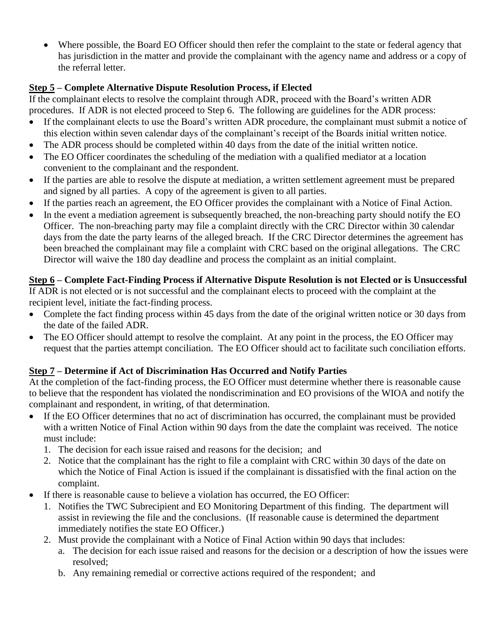Where possible, the Board EO Officer should then refer the complaint to the state or federal agency that has jurisdiction in the matter and provide the complainant with the agency name and address or a copy of the referral letter.

# **Step 5 – Complete Alternative Dispute Resolution Process, if Elected**

If the complainant elects to resolve the complaint through ADR, proceed with the Board's written ADR procedures. If ADR is not elected proceed to Step 6. The following are guidelines for the ADR process:

- If the complainant elects to use the Board's written ADR procedure, the complainant must submit a notice of this election within seven calendar days of the complainant's receipt of the Boards initial written notice.
- The ADR process should be completed within 40 days from the date of the initial written notice.
- The EO Officer coordinates the scheduling of the mediation with a qualified mediator at a location convenient to the complainant and the respondent.
- If the parties are able to resolve the dispute at mediation, a written settlement agreement must be prepared and signed by all parties. A copy of the agreement is given to all parties.
- If the parties reach an agreement, the EO Officer provides the complainant with a Notice of Final Action.
- In the event a mediation agreement is subsequently breached, the non-breaching party should notify the EO Officer. The non-breaching party may file a complaint directly with the CRC Director within 30 calendar days from the date the party learns of the alleged breach. If the CRC Director determines the agreement has been breached the complainant may file a complaint with CRC based on the original allegations. The CRC Director will waive the 180 day deadline and process the complaint as an initial complaint.

# **Step 6 – Complete Fact-Finding Process if Alternative Dispute Resolution is not Elected or is Unsuccessful** If ADR is not elected or is not successful and the complainant elects to proceed with the complaint at the recipient level, initiate the fact-finding process.

- Complete the fact finding process within 45 days from the date of the original written notice or 30 days from the date of the failed ADR.
- The EO Officer should attempt to resolve the complaint. At any point in the process, the EO Officer may request that the parties attempt conciliation. The EO Officer should act to facilitate such conciliation efforts.

# **Step 7 – Determine if Act of Discrimination Has Occurred and Notify Parties**

At the completion of the fact-finding process, the EO Officer must determine whether there is reasonable cause to believe that the respondent has violated the nondiscrimination and EO provisions of the WIOA and notify the complainant and respondent, in writing, of that determination.

- If the EO Officer determines that no act of discrimination has occurred, the complainant must be provided with a written Notice of Final Action within 90 days from the date the complaint was received. The notice must include:
	- 1. The decision for each issue raised and reasons for the decision; and
	- 2. Notice that the complainant has the right to file a complaint with CRC within 30 days of the date on which the Notice of Final Action is issued if the complainant is dissatisfied with the final action on the complaint.
- If there is reasonable cause to believe a violation has occurred, the EO Officer:
	- 1. Notifies the TWC Subrecipient and EO Monitoring Department of this finding. The department will assist in reviewing the file and the conclusions. (If reasonable cause is determined the department immediately notifies the state EO Officer.)
	- 2. Must provide the complainant with a Notice of Final Action within 90 days that includes:
		- a. The decision for each issue raised and reasons for the decision or a description of how the issues were resolved;
		- b. Any remaining remedial or corrective actions required of the respondent; and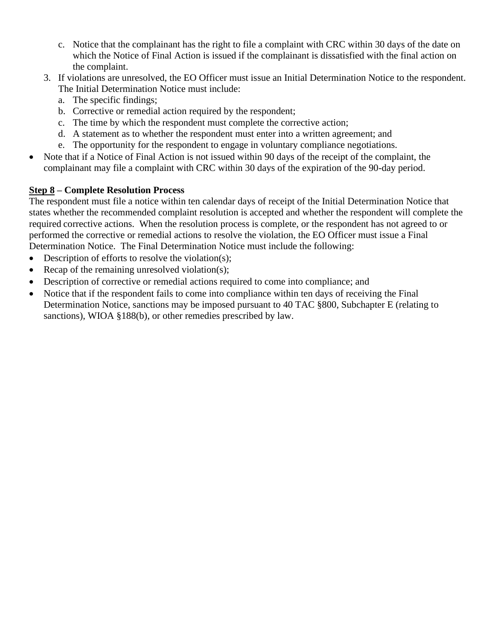- c. Notice that the complainant has the right to file a complaint with CRC within 30 days of the date on which the Notice of Final Action is issued if the complainant is dissatisfied with the final action on the complaint.
- 3. If violations are unresolved, the EO Officer must issue an Initial Determination Notice to the respondent. The Initial Determination Notice must include:
	- a. The specific findings;
	- b. Corrective or remedial action required by the respondent;
	- c. The time by which the respondent must complete the corrective action;
	- d. A statement as to whether the respondent must enter into a written agreement; and
	- e. The opportunity for the respondent to engage in voluntary compliance negotiations.
- Note that if a Notice of Final Action is not issued within 90 days of the receipt of the complaint, the complainant may file a complaint with CRC within 30 days of the expiration of the 90-day period.

# **Step 8 – Complete Resolution Process**

The respondent must file a notice within ten calendar days of receipt of the Initial Determination Notice that states whether the recommended complaint resolution is accepted and whether the respondent will complete the required corrective actions. When the resolution process is complete, or the respondent has not agreed to or performed the corrective or remedial actions to resolve the violation, the EO Officer must issue a Final Determination Notice. The Final Determination Notice must include the following:

- Description of efforts to resolve the violation(s);
- Recap of the remaining unresolved violation(s);
- Description of corrective or remedial actions required to come into compliance; and
- Notice that if the respondent fails to come into compliance within ten days of receiving the Final Determination Notice, sanctions may be imposed pursuant to 40 TAC §800, Subchapter E (relating to sanctions), WIOA §188(b), or other remedies prescribed by law.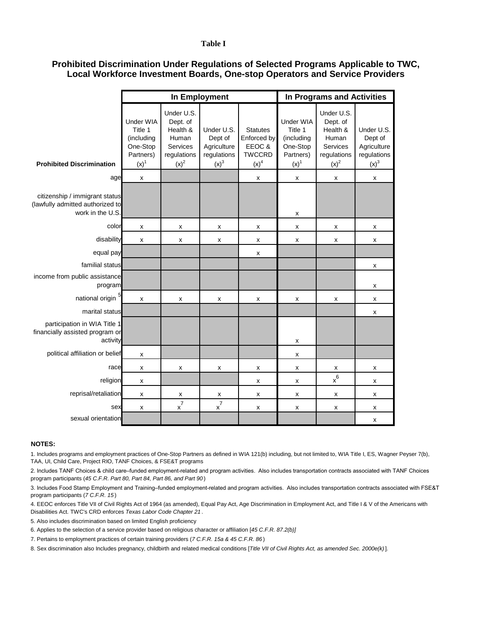#### **Table I**

#### **Local Workforce Investment Boards, One-stop Operators and Service Providers Prohibited Discrimination Under Regulations of Selected Programs Applicable to TWC,**

|                                                                                        | In Employment                                                                   |                                                                                   |                                                                         |                                                                              | In Programs and Activities                                                      |                                                                                   |                                                                         |
|----------------------------------------------------------------------------------------|---------------------------------------------------------------------------------|-----------------------------------------------------------------------------------|-------------------------------------------------------------------------|------------------------------------------------------------------------------|---------------------------------------------------------------------------------|-----------------------------------------------------------------------------------|-------------------------------------------------------------------------|
| <b>Prohibited Discrimination</b>                                                       | Under WIA<br>Title 1<br>(including<br>One-Stop<br>Partners)<br>(x) <sup>1</sup> | Under U.S.<br>Dept. of<br>Health &<br>Human<br>Services<br>regulations<br>$(x)^2$ | Under U.S.<br>Dept of<br>Agriculture<br>regulations<br>(x) <sup>3</sup> | <b>Statutes</b><br>Enforced by<br>EEOC&<br><b>TWCCRD</b><br>(x) <sup>4</sup> | Under WIA<br>Title 1<br>(including<br>One-Stop<br>Partners)<br>(x) <sup>1</sup> | Under U.S.<br>Dept. of<br>Health &<br>Human<br>Services<br>regulations<br>$(x)^2$ | Under U.S.<br>Dept of<br>Agriculture<br>regulations<br>(x) <sup>3</sup> |
| age                                                                                    | $\pmb{\mathsf{x}}$                                                              |                                                                                   |                                                                         | х                                                                            | х                                                                               | X                                                                                 | X                                                                       |
| citizenship / immigrant status<br>(lawfully admitted authorized to<br>work in the U.S. |                                                                                 |                                                                                   |                                                                         |                                                                              | $\pmb{\mathsf{x}}$                                                              |                                                                                   |                                                                         |
| color                                                                                  | х                                                                               | х                                                                                 | х                                                                       | х                                                                            | $\pmb{\mathsf{x}}$                                                              | х                                                                                 | х                                                                       |
| disability                                                                             | X                                                                               | x                                                                                 | x                                                                       | х                                                                            | X                                                                               | X                                                                                 | X                                                                       |
| equal pay                                                                              |                                                                                 |                                                                                   |                                                                         | х                                                                            |                                                                                 |                                                                                   |                                                                         |
| familial status                                                                        |                                                                                 |                                                                                   |                                                                         |                                                                              |                                                                                 |                                                                                   | x                                                                       |
| income from public assistance<br>program                                               |                                                                                 |                                                                                   |                                                                         |                                                                              |                                                                                 |                                                                                   | х                                                                       |
| national origin 5                                                                      | x                                                                               | x                                                                                 | x                                                                       | х                                                                            | х                                                                               | x                                                                                 | $\pmb{\mathsf{x}}$                                                      |
| marital status                                                                         |                                                                                 |                                                                                   |                                                                         |                                                                              |                                                                                 |                                                                                   | X                                                                       |
| participation in WIA Title 1<br>financially assisted program or<br>activity            |                                                                                 |                                                                                   |                                                                         |                                                                              | $\pmb{\mathsf{x}}$                                                              |                                                                                   |                                                                         |
| political affiliation or belief                                                        | X                                                                               |                                                                                   |                                                                         |                                                                              | х                                                                               |                                                                                   |                                                                         |
| race                                                                                   | x                                                                               | x                                                                                 | x                                                                       | х                                                                            | х                                                                               | х                                                                                 | $\pmb{\times}$                                                          |
| religion                                                                               | x                                                                               |                                                                                   |                                                                         | x                                                                            | X                                                                               | $x^6$                                                                             | X                                                                       |
| reprisal/retaliation                                                                   | X                                                                               | х                                                                                 | х                                                                       | x                                                                            | X                                                                               | X                                                                                 | X                                                                       |
| sex                                                                                    | X                                                                               | $x^7$                                                                             | $\rm{x}^7$                                                              | x                                                                            | x                                                                               | X                                                                                 | X                                                                       |
| sexual orientation                                                                     |                                                                                 |                                                                                   |                                                                         |                                                                              |                                                                                 |                                                                                   | X                                                                       |

#### **NOTES:**

1. Includes programs and employment practices of One-Stop Partners as defined in WIA 121(b) including, but not limited to, WIA Title I, ES, Wagner Peyser 7(b), TAA, UI, Child Care, Project RIO, TANF Choices, & FSE&T programs

2. Includes TANF Choices & child care–funded employment-related and program activities. Also includes transportation contracts associated with TANF Choices program participants (*45 C.F.R. Part 80, Part 84, Part 86, and Part 90* )

3. Includes Food Stamp Employment and Training–funded employment-related and program activities. Also includes transportation contracts associated with FSE&T program participants (*7 C.F.R. 15* )

4. EEOC enforces Title VII of Civil Rights Act of 1964 (as amended), Equal Pay Act, Age Discrimination in Employment Act, and Title I & V of the Americans with Disabilities Act. TWC's CRD enforces *Texas Labor Code Chapter 21* .

5. Also includes discrimination based on limited English proficiency

6. Applies to the selection of a service provider based on religious character or affiliation [*45 C.F.R. 87.2(b)]*

7. Pertains to employment practices of certain training providers (*7 C.F.R. 15a & 45 C.F.R. 86* )

8. Sex discrimination also Includes pregnancy, childbirth and related medical conditions [*Title VII of Civil Rights Act, as amended Sec. 2000e(k)* ].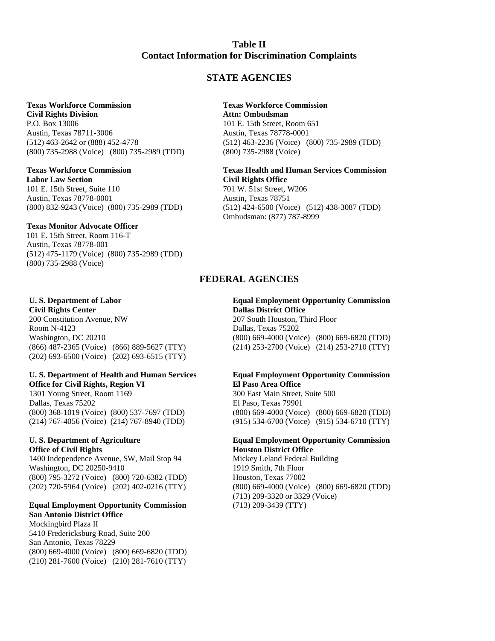# **Table II Contact Information for Discrimination Complaints**

# **STATE AGENCIES**

### **Texas Workforce Commission**

**Civil Rights Division** P.O. Box 13006 Austin, Texas 78711-3006 (512) 463-2642 or (888) 452-4778 (800) 735-2988 (Voice) (800) 735-2989 (TDD)

#### **Texas Workforce Commission Labor Law Section**

101 E. 15th Street, Suite 110 Austin, Texas 78778-0001 (800) 832-9243 (Voice) (800) 735-2989 (TDD)

#### **Texas Monitor Advocate Officer**

101 E. 15th Street, Room 116-T Austin, Texas 78778-001 (512) 475-1179 (Voice) (800) 735-2989 (TDD) (800) 735-2988 (Voice)

**Civil Rights Center Dallas District Office** 200 Constitution Avenue, NW 207 South Houston, Third Floor Room N-4123 Dallas, Texas 75202 (202) 693-6500 (Voice) (202) 693-6515 (TTY)

# **U. S. Department of Health and Human Services Equal Employment Opportunity Commission**

**Office for Civil Rights, Region VI El Paso Area Office** 1301 Young Street, Room 1169 300 East Main Street, Suite 500 Dallas, Texas 75202 El Paso, Texas 79901 (214) 767-4056 (Voice) (214) 767-8940 (TDD) (915) 534-6700 (Voice) (915) 534-6710 (TTY)

# **Office of Civil Rights Houston District Office**

1400 Independence Avenue, SW, Mail Stop 94 Mickey Leland Federal Building Washington, DC 20250-9410 1919 Smith, 7th Floor (800) 795-3272 (Voice) (800) 720-6382 (TDD) Houston, Texas 77002

#### **Equal Employment Opportunity Commission** (713) 209-3439 (TTY) **San Antonio District Office**

Mockingbird Plaza II 5410 Fredericksburg Road, Suite 200 San Antonio, Texas 78229 (800) 669-4000 (Voice) (800) 669-6820 (TDD) (210) 281-7600 (Voice) (210) 281-7610 (TTY)

# **Texas Workforce Commission**

**Attn: Ombudsman** 101 E. 15th Street, Room 651 Austin, Texas 78778-0001 (512) 463-2236 (Voice) (800) 735-2989 (TDD) (800) 735-2988 (Voice)

#### **Texas Health and Human Services Commission Civil Rights Office** 701 W. 51st Street, W206

Austin, Texas 78751 (512) 424-6500 (Voice) (512) 438-3087 (TDD) Ombudsman: (877) 787-8999

# **FEDERAL AGENCIES**

# **U. S. Department of Labor Equal Employment Opportunity Commission**

Washington, DC 20210 (800) 669-4000 (Voice) (800) 669-6820 (TDD) (866) 487-2365 (Voice) (866) 889-5627 (TTY) (214) 253-2700 (Voice) (214) 253-2710 (TTY)

# (800) 368-1019 (Voice) (800) 537-7697 (TDD) (800) 669-4000 (Voice) (800) 669-6820 (TDD)

# **U. S. Department of Agriculture Equal Employment Opportunity Commission**

(202) 720-5964 (Voice) (202) 402-0216 (TTY) (800) 669-4000 (Voice) (800) 669-6820 (TDD) (713) 209-3320 or 3329 (Voice)